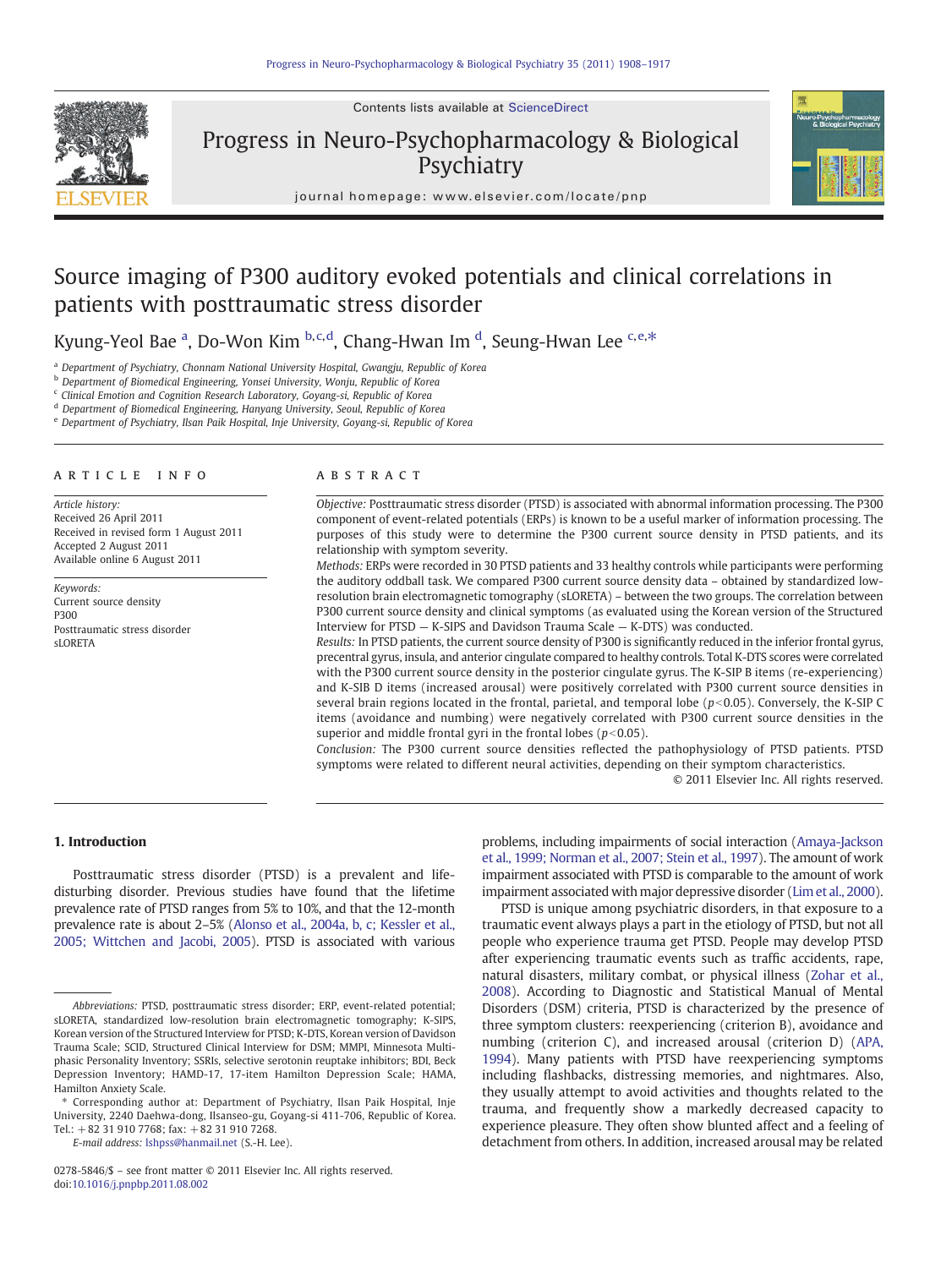Contents lists available at ScienceDirect



Progress in Neuro-Psychopharmacology & Biological **Psychiatry** 



journal homepage: www.elsevier.com/locate/pnp

# Source imaging of P300 auditory evoked potentials and clinical correlations in patients with posttraumatic stress disorder

Kyung-Yeol Bae <sup>a</sup>, Do-Won Kim <sup>b,c,d</sup>, Chang-Hwan Im <sup>d</sup>, Seung-Hwan Lee <sup>c,e,\*</sup>

<sup>a</sup> Department of Psychiatry, Chonnam National University Hospital, Gwangju, Republic of Korea

<sup>b</sup> Department of Biomedical Engineering, Yonsei University, Wonju, Republic of Korea

<sup>c</sup> Clinical Emotion and Cognition Research Laboratory, Goyang-si, Republic of Korea

<sup>d</sup> Department of Biomedical Engineering, Hanyang University, Seoul, Republic of Korea

<sup>e</sup> Department of Psychiatry, Ilsan Paik Hospital, Inje University, Goyang-si, Republic of Korea

# article info abstract

Article history: Received 26 April 2011 Received in revised form 1 August 2011 Accepted 2 August 2011 Available online 6 August 2011

Keywords: Current source density P300 Posttraumatic stress disorder sLORETA

Objective: Posttraumatic stress disorder (PTSD) is associated with abnormal information processing. The P300 component of event-related potentials (ERPs) is known to be a useful marker of information processing. The purposes of this study were to determine the P300 current source density in PTSD patients, and its relationship with symptom severity.

Methods: ERPs were recorded in 30 PTSD patients and 33 healthy controls while participants were performing the auditory oddball task. We compared P300 current source density data – obtained by standardized lowresolution brain electromagnetic tomography (sLORETA) – between the two groups. The correlation between P300 current source density and clinical symptoms (as evaluated using the Korean version of the Structured Interview for PTSD — K-SIPS and Davidson Trauma Scale — K-DTS) was conducted.

Results: In PTSD patients, the current source density of P300 is significantly reduced in the inferior frontal gyrus, precentral gyrus, insula, and anterior cingulate compared to healthy controls. Total K-DTS scores were correlated with the P300 current source density in the posterior cingulate gyrus. The K-SIP B items (re-experiencing) and K-SIB D items (increased arousal) were positively correlated with P300 current source densities in several brain regions located in the frontal, parietal, and temporal lobe  $(p<0.05)$ . Conversely, the K-SIP C items (avoidance and numbing) were negatively correlated with P300 current source densities in the superior and middle frontal gyri in the frontal lobes ( $p<0.05$ ).

Conclusion: The P300 current source densities reflected the pathophysiology of PTSD patients. PTSD symptoms were related to different neural activities, depending on their symptom characteristics.

© 2011 Elsevier Inc. All rights reserved.

## 1. Introduction

Posttraumatic stress disorder (PTSD) is a prevalent and lifedisturbing disorder. Previous studies have found that the lifetime prevalence rate of PTSD ranges from 5% to 10%, and that the 12-month prevalence rate is about 2–5% [\(Alonso et al., 2004a, b, c; Kessler et al.,](#page-7-0) [2005; Wittchen and Jacobi, 2005\)](#page-7-0). PTSD is associated with various

E-mail address: [lshpss@hanmail.net](mailto:lshpss@hanmail.net) (S.-H. Lee).

0278-5846/\$ – see front matter © 2011 Elsevier Inc. All rights reserved. doi[:10.1016/j.pnpbp.2011.08.002](http://dx.doi.org/10.1016/j.pnpbp.2011.08.002)

problems, including impairments of social interaction ([Amaya-Jackson](#page-7-0) [et al., 1999; Norman et al., 2007; Stein et al., 1997](#page-7-0)). The amount of work impairment associated with PTSD is comparable to the amount of work impairment associated with major depressive disorder [\(Lim et al., 2000\)](#page-8-0).

PTSD is unique among psychiatric disorders, in that exposure to a traumatic event always plays a part in the etiology of PTSD, but not all people who experience trauma get PTSD. People may develop PTSD after experiencing traumatic events such as traffic accidents, rape, natural disasters, military combat, or physical illness ([Zohar et al.,](#page-9-0) [2008\)](#page-9-0). According to Diagnostic and Statistical Manual of Mental Disorders (DSM) criteria, PTSD is characterized by the presence of three symptom clusters: reexperiencing (criterion B), avoidance and numbing (criterion C), and increased arousal (criterion D) [\(APA,](#page-7-0) [1994\)](#page-7-0). Many patients with PTSD have reexperiencing symptoms including flashbacks, distressing memories, and nightmares. Also, they usually attempt to avoid activities and thoughts related to the trauma, and frequently show a markedly decreased capacity to experience pleasure. They often show blunted affect and a feeling of detachment from others. In addition, increased arousal may be related

Abbreviations: PTSD, posttraumatic stress disorder; ERP, event-related potential; sLORETA, standardized low-resolution brain electromagnetic tomography; K-SIPS, Korean version of the Structured Interview for PTSD; K-DTS, Korean version of Davidson Trauma Scale; SCID, Structured Clinical Interview for DSM; MMPI, Minnesota Multiphasic Personality Inventory; SSRIs, selective serotonin reuptake inhibitors; BDI, Beck Depression Inventory; HAMD-17, 17-item Hamilton Depression Scale; HAMA, Hamilton Anxiety Scale.

<sup>⁎</sup> Corresponding author at: Department of Psychiatry, Ilsan Paik Hospital, Inje University, 2240 Daehwa-dong, Ilsanseo-gu, Goyang-si 411-706, Republic of Korea. Tel.:  $+82319107768$ ; fax:  $+82319107268$ .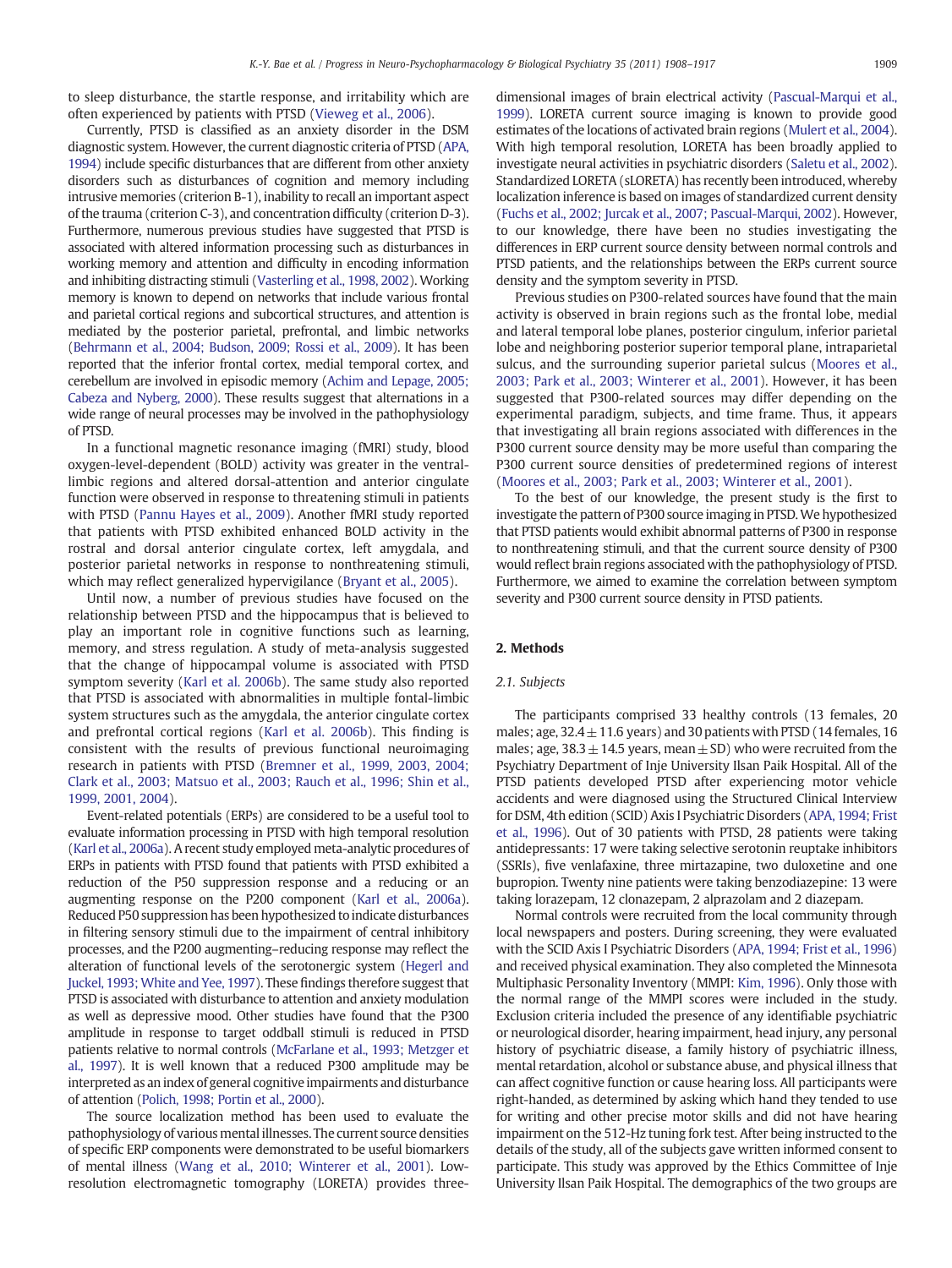to sleep disturbance, the startle response, and irritability which are often experienced by patients with PTSD [\(Vieweg et al., 2006\)](#page-9-0).

Currently, PTSD is classified as an anxiety disorder in the DSM diagnostic system. However, the current diagnostic criteria of PTSD [\(APA,](#page-7-0) [1994](#page-7-0)) include specific disturbances that are different from other anxiety disorders such as disturbances of cognition and memory including intrusive memories (criterion B-1), inability to recall an important aspect of the trauma (criterion C-3), and concentration difficulty (criterion D-3). Furthermore, numerous previous studies have suggested that PTSD is associated with altered information processing such as disturbances in working memory and attention and difficulty in encoding information and inhibiting distracting stimuli [\(Vasterling et al., 1998, 2002](#page-9-0)). Working memory is known to depend on networks that include various frontal and parietal cortical regions and subcortical structures, and attention is mediated by the posterior parietal, prefrontal, and limbic networks [\(Behrmann et al., 2004; Budson, 2009; Rossi et al., 2009](#page-8-0)). It has been reported that the inferior frontal cortex, medial temporal cortex, and cerebellum are involved in episodic memory ([Achim and Lepage, 2005;](#page-7-0) [Cabeza and Nyberg, 2000](#page-7-0)). These results suggest that alternations in a wide range of neural processes may be involved in the pathophysiology of PTSD.

In a functional magnetic resonance imaging (fMRI) study, blood oxygen-level-dependent (BOLD) activity was greater in the ventrallimbic regions and altered dorsal-attention and anterior cingulate function were observed in response to threatening stimuli in patients with PTSD [\(Pannu Hayes et al., 2009](#page-9-0)). Another fMRI study reported that patients with PTSD exhibited enhanced BOLD activity in the rostral and dorsal anterior cingulate cortex, left amygdala, and posterior parietal networks in response to nonthreatening stimuli, which may reflect generalized hypervigilance ([Bryant et al., 2005](#page-8-0)).

Until now, a number of previous studies have focused on the relationship between PTSD and the hippocampus that is believed to play an important role in cognitive functions such as learning, memory, and stress regulation. A study of meta-analysis suggested that the change of hippocampal volume is associated with PTSD symptom severity ([Karl et al. 2006b](#page-8-0)). The same study also reported that PTSD is associated with abnormalities in multiple fontal-limbic system structures such as the amygdala, the anterior cingulate cortex and prefrontal cortical regions [\(Karl et al. 2006b\)](#page-8-0). This finding is consistent with the results of previous functional neuroimaging research in patients with PTSD [\(Bremner et al., 1999, 2003, 2004;](#page-8-0) [Clark et al., 2003; Matsuo et al., 2003; Rauch et al., 1996; Shin et al.,](#page-8-0) [1999, 2001, 2004\)](#page-8-0).

Event-related potentials (ERPs) are considered to be a useful tool to evaluate information processing in PTSD with high temporal resolution [\(Karl et al., 2006a](#page-8-0)). A recent study employed meta-analytic procedures of ERPs in patients with PTSD found that patients with PTSD exhibited a reduction of the P50 suppression response and a reducing or an augmenting response on the P200 component [\(Karl et al., 2006a](#page-8-0)). Reduced P50 suppression has been hypothesized to indicate disturbances in filtering sensory stimuli due to the impairment of central inhibitory processes, and the P200 augmenting–reducing response may reflect the alteration of functional levels of the serotonergic system [\(Hegerl and](#page-8-0) [Juckel, 1993; White and Yee, 1997\)](#page-8-0). These findings therefore suggest that PTSD is associated with disturbance to attention and anxiety modulation as well as depressive mood. Other studies have found that the P300 amplitude in response to target oddball stimuli is reduced in PTSD patients relative to normal controls [\(McFarlane et al., 1993; Metzger et](#page-8-0) [al., 1997](#page-8-0)). It is well known that a reduced P300 amplitude may be interpreted as an index of general cognitive impairments and disturbance of attention [\(Polich, 1998; Portin et al., 2000\)](#page-9-0).

The source localization method has been used to evaluate the pathophysiology of various mental illnesses. The current source densities of specific ERP components were demonstrated to be useful biomarkers of mental illness [\(Wang et al., 2010; Winterer et al., 2001](#page-9-0)). Lowresolution electromagnetic tomography (LORETA) provides threedimensional images of brain electrical activity [\(Pascual-Marqui et al.,](#page-9-0) [1999](#page-9-0)). LORETA current source imaging is known to provide good estimates of the locations of activated brain regions [\(Mulert et al., 2004](#page-9-0)). With high temporal resolution, LORETA has been broadly applied to investigate neural activities in psychiatric disorders [\(Saletu et al., 2002](#page-9-0)). Standardized LORETA (sLORETA) has recently been introduced, whereby localization inference is based on images of standardized current density [\(Fuchs et al., 2002; Jurcak et al., 2007; Pascual-Marqui, 2002\)](#page-8-0). However, to our knowledge, there have been no studies investigating the differences in ERP current source density between normal controls and PTSD patients, and the relationships between the ERPs current source density and the symptom severity in PTSD.

Previous studies on P300-related sources have found that the main activity is observed in brain regions such as the frontal lobe, medial and lateral temporal lobe planes, posterior cingulum, inferior parietal lobe and neighboring posterior superior temporal plane, intraparietal sulcus, and the surrounding superior parietal sulcus [\(Moores et al.,](#page-8-0) [2003; Park et al., 2003; Winterer et al., 2001](#page-8-0)). However, it has been suggested that P300-related sources may differ depending on the experimental paradigm, subjects, and time frame. Thus, it appears that investigating all brain regions associated with differences in the P300 current source density may be more useful than comparing the P300 current source densities of predetermined regions of interest [\(Moores et al., 2003; Park et al., 2003; Winterer et al., 2001\)](#page-8-0).

To the best of our knowledge, the present study is the first to investigate the pattern of P300 source imaging in PTSD.We hypothesized that PTSD patients would exhibit abnormal patterns of P300 in response to nonthreatening stimuli, and that the current source density of P300 would reflect brain regions associated with the pathophysiology of PTSD. Furthermore, we aimed to examine the correlation between symptom severity and P300 current source density in PTSD patients.

#### 2. Methods

#### 2.1. Subjects

The participants comprised 33 healthy controls (13 females, 20 males; age,  $32.4 \pm 11.6$  years) and 30 patients with PTSD (14 females, 16 males; age,  $38.3 \pm 14.5$  years, mean  $\pm$  SD) who were recruited from the Psychiatry Department of Inje University Ilsan Paik Hospital. All of the PTSD patients developed PTSD after experiencing motor vehicle accidents and were diagnosed using the Structured Clinical Interview for DSM, 4th edition (SCID) Axis I Psychiatric Disorders [\(APA, 1994; Frist](#page-7-0) [et al., 1996\)](#page-7-0). Out of 30 patients with PTSD, 28 patients were taking antidepressants: 17 were taking selective serotonin reuptake inhibitors (SSRIs), five venlafaxine, three mirtazapine, two duloxetine and one bupropion. Twenty nine patients were taking benzodiazepine: 13 were taking lorazepam, 12 clonazepam, 2 alprazolam and 2 diazepam.

Normal controls were recruited from the local community through local newspapers and posters. During screening, they were evaluated with the SCID Axis I Psychiatric Disorders ([APA, 1994; Frist et al., 1996](#page-7-0)) and received physical examination. They also completed the Minnesota Multiphasic Personality Inventory (MMPI: [Kim, 1996\)](#page-8-0). Only those with the normal range of the MMPI scores were included in the study. Exclusion criteria included the presence of any identifiable psychiatric or neurological disorder, hearing impairment, head injury, any personal history of psychiatric disease, a family history of psychiatric illness, mental retardation, alcohol or substance abuse, and physical illness that can affect cognitive function or cause hearing loss. All participants were right-handed, as determined by asking which hand they tended to use for writing and other precise motor skills and did not have hearing impairment on the 512-Hz tuning fork test. After being instructed to the details of the study, all of the subjects gave written informed consent to participate. This study was approved by the Ethics Committee of Inje University Ilsan Paik Hospital. The demographics of the two groups are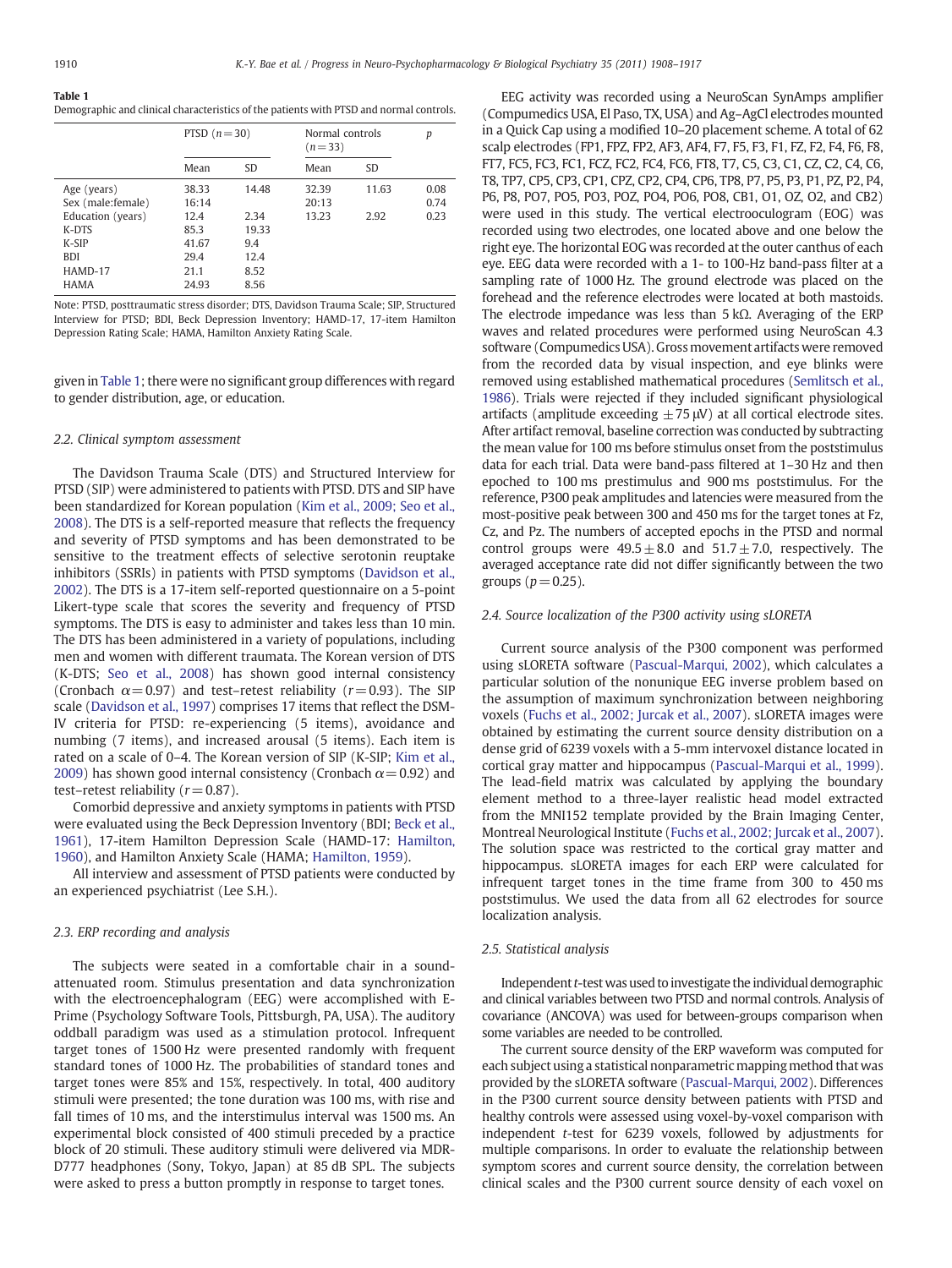#### <span id="page-2-0"></span>Table 1

Demographic and clinical characteristics of the patients with PTSD and normal controls.

|                    | PTSD $(n=30)$ |       | Normal controls<br>$(n=33)$ |           | p    |
|--------------------|---------------|-------|-----------------------------|-----------|------|
|                    | Mean          | SD.   | Mean                        | <b>SD</b> |      |
| Age (years)        | 38.33         | 14.48 | 32.39                       | 11.63     | 0.08 |
| Sex (male: female) | 16:14         |       | 20:13                       |           | 0.74 |
| Education (years)  | 12.4          | 2.34  | 13.23                       | 2.92      | 0.23 |
| K-DTS              | 85.3          | 19.33 |                             |           |      |
| $K-SIP$            | 41.67         | 9.4   |                             |           |      |
| <b>BDI</b>         | 29.4          | 12.4  |                             |           |      |
| HAMD-17            | 21.1          | 8.52  |                             |           |      |
| <b>HAMA</b>        | 24.93         | 8.56  |                             |           |      |

Note: PTSD, posttraumatic stress disorder; DTS, Davidson Trauma Scale; SIP, Structured Interview for PTSD; BDI, Beck Depression Inventory; HAMD-17, 17-item Hamilton Depression Rating Scale; HAMA, Hamilton Anxiety Rating Scale.

given in Table 1; there were no significant group differences with regard to gender distribution, age, or education.

## 2.2. Clinical symptom assessment

The Davidson Trauma Scale (DTS) and Structured Interview for PTSD (SIP) were administered to patients with PTSD. DTS and SIP have been standardized for Korean population ([Kim et al., 2009; Seo et al.,](#page-8-0) [2008\)](#page-8-0). The DTS is a self-reported measure that reflects the frequency and severity of PTSD symptoms and has been demonstrated to be sensitive to the treatment effects of selective serotonin reuptake inhibitors (SSRIs) in patients with PTSD symptoms [\(Davidson et al.,](#page-8-0) [2002\)](#page-8-0). The DTS is a 17-item self-reported questionnaire on a 5-point Likert-type scale that scores the severity and frequency of PTSD symptoms. The DTS is easy to administer and takes less than 10 min. The DTS has been administered in a variety of populations, including men and women with different traumata. The Korean version of DTS (K-DTS; [Seo et al., 2008\)](#page-9-0) has shown good internal consistency (Cronbach  $\alpha$  = 0.97) and test-retest reliability ( $r$  = 0.93). The SIP scale ([Davidson et al., 1997\)](#page-8-0) comprises 17 items that reflect the DSM-IV criteria for PTSD: re-experiencing (5 items), avoidance and numbing (7 items), and increased arousal (5 items). Each item is rated on a scale of 0–4. The Korean version of SIP (K-SIP; [Kim et al.,](#page-8-0) [2009\)](#page-8-0) has shown good internal consistency (Cronbach  $\alpha$  = 0.92) and test–retest reliability  $(r= 0.87)$ .

Comorbid depressive and anxiety symptoms in patients with PTSD were evaluated using the Beck Depression Inventory (BDI; [Beck et al.,](#page-8-0) [1961\)](#page-8-0), 17-item Hamilton Depression Scale (HAMD-17: [Hamilton,](#page-8-0) [1960\)](#page-8-0), and Hamilton Anxiety Scale (HAMA; [Hamilton, 1959](#page-8-0)).

All interview and assessment of PTSD patients were conducted by an experienced psychiatrist (Lee S.H.).

## 2.3. ERP recording and analysis

The subjects were seated in a comfortable chair in a soundattenuated room. Stimulus presentation and data synchronization with the electroencephalogram (EEG) were accomplished with E-Prime (Psychology Software Tools, Pittsburgh, PA, USA). The auditory oddball paradigm was used as a stimulation protocol. Infrequent target tones of 1500 Hz were presented randomly with frequent standard tones of 1000 Hz. The probabilities of standard tones and target tones were 85% and 15%, respectively. In total, 400 auditory stimuli were presented; the tone duration was 100 ms, with rise and fall times of 10 ms, and the interstimulus interval was 1500 ms. An experimental block consisted of 400 stimuli preceded by a practice block of 20 stimuli. These auditory stimuli were delivered via MDR-D777 headphones (Sony, Tokyo, Japan) at 85 dB SPL. The subjects were asked to press a button promptly in response to target tones.

EEG activity was recorded using a NeuroScan SynAmps amplifier (Compumedics USA, El Paso, TX, USA) and Ag–AgCl electrodes mounted in a Quick Cap using a modified 10–20 placement scheme. A total of 62 scalp electrodes (FP1, FPZ, FP2, AF3, AF4, F7, F5, F3, F1, FZ, F2, F4, F6, F8, FT7, FC5, FC3, FC1, FCZ, FC2, FC4, FC6, FT8, T7, C5, C3, C1, CZ, C2, C4, C6, T8, TP7, CP5, CP3, CP1, CPZ, CP2, CP4, CP6, TP8, P7, P5, P3, P1, PZ, P2, P4, P6, P8, PO7, PO5, PO3, POZ, PO4, PO6, PO8, CB1, O1, OZ, O2, and CB2) were used in this study. The vertical electrooculogram (EOG) was recorded using two electrodes, one located above and one below the right eye. The horizontal EOG was recorded at the outer canthus of each eye. EEG data were recorded with a 1- to 100-Hz band-pass filter at a sampling rate of 1000 Hz. The ground electrode was placed on the forehead and the reference electrodes were located at both mastoids. The electrode impedance was less than 5 kΩ. Averaging of the ERP waves and related procedures were performed using NeuroScan 4.3 software (Compumedics USA). Gross movement artifacts were removed from the recorded data by visual inspection, and eye blinks were removed using established mathematical procedures ([Semlitsch et al.,](#page-9-0) [1986\)](#page-9-0). Trials were rejected if they included significant physiological artifacts (amplitude exceeding  $\pm$  75 μV) at all cortical electrode sites. After artifact removal, baseline correction was conducted by subtracting the mean value for 100 ms before stimulus onset from the poststimulus data for each trial. Data were band-pass filtered at 1–30 Hz and then epoched to 100 ms prestimulus and 900 ms poststimulus. For the reference, P300 peak amplitudes and latencies were measured from the most-positive peak between 300 and 450 ms for the target tones at Fz, Cz, and Pz. The numbers of accepted epochs in the PTSD and normal control groups were  $49.5 \pm 8.0$  and  $51.7 \pm 7.0$ , respectively. The averaged acceptance rate did not differ significantly between the two groups ( $p=0.25$ ).

#### 2.4. Source localization of the P300 activity using sLORETA

Current source analysis of the P300 component was performed using sLORETA software [\(Pascual-Marqui, 2002\)](#page-9-0), which calculates a particular solution of the nonunique EEG inverse problem based on the assumption of maximum synchronization between neighboring voxels ([Fuchs et al., 2002; Jurcak et al., 2007](#page-8-0)). sLORETA images were obtained by estimating the current source density distribution on a dense grid of 6239 voxels with a 5-mm intervoxel distance located in cortical gray matter and hippocampus [\(Pascual-Marqui et al., 1999](#page-9-0)). The lead-field matrix was calculated by applying the boundary element method to a three-layer realistic head model extracted from the MNI152 template provided by the Brain Imaging Center, Montreal Neurological Institute ([Fuchs et al., 2002; Jurcak et al., 2007](#page-8-0)). The solution space was restricted to the cortical gray matter and hippocampus. sLORETA images for each ERP were calculated for infrequent target tones in the time frame from 300 to 450 ms poststimulus. We used the data from all 62 electrodes for source localization analysis.

## 2.5. Statistical analysis

Independent  $t$ -test was used to investigate the individual demographic and clinical variables between two PTSD and normal controls. Analysis of covariance (ANCOVA) was used for between-groups comparison when some variables are needed to be controlled.

The current source density of the ERP waveform was computed for each subject using a statistical nonparametric mapping method that was provided by the sLORETA software [\(Pascual-Marqui, 2002\)](#page-9-0). Differences in the P300 current source density between patients with PTSD and healthy controls were assessed using voxel-by-voxel comparison with independent t-test for 6239 voxels, followed by adjustments for multiple comparisons. In order to evaluate the relationship between symptom scores and current source density, the correlation between clinical scales and the P300 current source density of each voxel on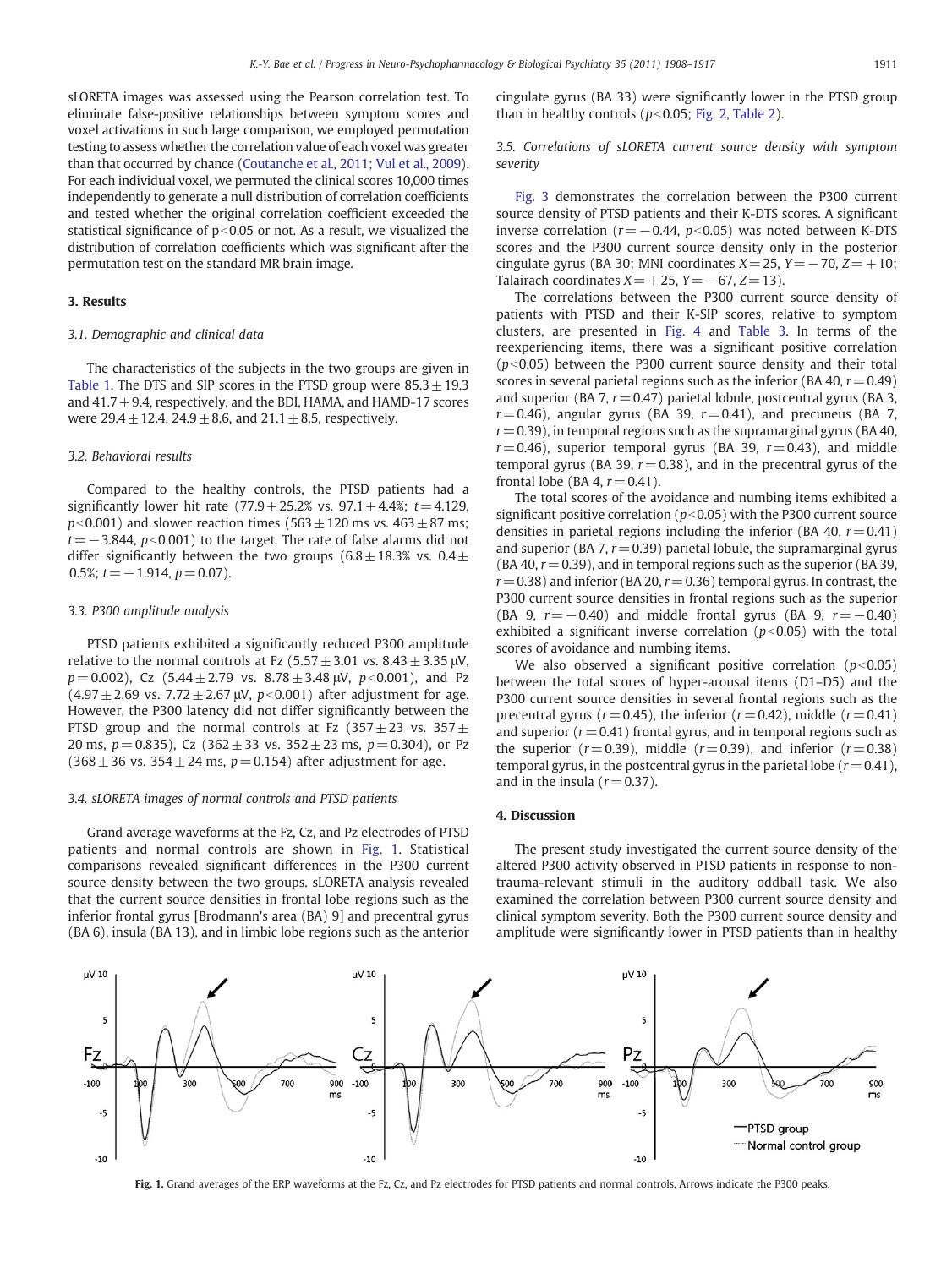sLORETA images was assessed using the Pearson correlation test. To eliminate false-positive relationships between symptom scores and voxel activations in such large comparison, we employed permutation testing to assess whether the correlation value of each voxel was greater than that occurred by chance [\(Coutanche et al., 2011; Vul et al., 2009](#page-8-0)). For each individual voxel, we permuted the clinical scores 10,000 times independently to generate a null distribution of correlation coefficients and tested whether the original correlation coefficient exceeded the statistical significance of  $p<0.05$  or not. As a result, we visualized the distribution of correlation coefficients which was significant after the permutation test on the standard MR brain image.

# 3. Results

# 3.1. Demographic and clinical data

The characteristics of the subjects in the two groups are given in [Table 1](#page-2-0). The DTS and SIP scores in the PTSD group were  $85.3 \pm 19.3$ and  $41.7 \pm 9.4$ , respectively, and the BDI, HAMA, and HAMD-17 scores were  $29.4 \pm 12.4$ ,  $24.9 \pm 8.6$ , and  $21.1 \pm 8.5$ , respectively.

# 3.2. Behavioral results

Compared to the healthy controls, the PTSD patients had a significantly lower hit rate (77.9  $\pm$  25.2% vs. 97.1  $\pm$  4.4%; t = 4.129,  $p<0.001$ ) and slower reaction times (563 $\pm$  120 ms vs. 463 $\pm$  87 ms;  $t=-3.844$ ,  $p<0.001$ ) to the target. The rate of false alarms did not differ significantly between the two groups  $(6.8 \pm 18.3\% \text{ vs. } 0.4 \pm \text{)}$ 0.5%;  $t = -1.914$ ,  $p = 0.07$ ).

## 3.3. P300 amplitude analysis

PTSD patients exhibited a significantly reduced P300 amplitude relative to the normal controls at Fz  $(5.57 \pm 3.01 \text{ vs. } 8.43 \pm 3.35 \text{ µV})$ ,  $p = 0.002$ ), Cz (5.44  $\pm$  2.79 vs. 8.78  $\pm$  3.48  $\mu$ V,  $p < 0.001$ ), and Pz  $(4.97 \pm 2.69 \text{ vs. } 7.72 \pm 2.67 \text{ µV}, p<0.001)$  after adjustment for age. However, the P300 latency did not differ significantly between the PTSD group and the normal controls at Fz  $(357 \pm 23 \text{ vs. } 357 \pm \text{ } 25)$ 20 ms,  $p = 0.835$ ), Cz (362  $\pm$  33 vs. 352  $\pm$  23 ms,  $p = 0.304$ ), or Pz  $(368 \pm 36 \text{ vs. } 354 \pm 24 \text{ ms}, p= 0.154)$  after adjustment for age.

# 3.4. sLORETA images of normal controls and PTSD patients

Grand average waveforms at the Fz, Cz, and Pz electrodes of PTSD patients and normal controls are shown in Fig. 1. Statistical comparisons revealed significant differences in the P300 current source density between the two groups. sLORETA analysis revealed that the current source densities in frontal lobe regions such as the inferior frontal gyrus [Brodmann's area (BA) 9] and precentral gyrus (BA 6), insula (BA 13), and in limbic lobe regions such as the anterior cingulate gyrus (BA 33) were significantly lower in the PTSD group than in healthy controls ( $p<0.05$ ; [Fig. 2,](#page-4-0) [Table 2](#page-4-0)).

# 3.5. Correlations of sLORETA current source density with symptom severity

[Fig. 3](#page-5-0) demonstrates the correlation between the P300 current source density of PTSD patients and their K-DTS scores. A significant inverse correlation ( $r=-0.44$ ,  $p<0.05$ ) was noted between K-DTS scores and the P300 current source density only in the posterior cingulate gyrus (BA 30; MNI coordinates  $X=25$ ,  $Y=-70$ ,  $Z=+10$ ; Talairach coordinates  $X=+25$ ,  $Y=-67$ ,  $Z=13$ ).

The correlations between the P300 current source density of patients with PTSD and their K-SIP scores, relative to symptom clusters, are presented in [Fig. 4](#page-6-0) and [Table 3.](#page-7-0) In terms of the reexperiencing items, there was a significant positive correlation  $(p<0.05)$  between the P300 current source density and their total scores in several parietal regions such as the inferior (BA 40,  $r = 0.49$ ) and superior (BA 7,  $r = 0.47$ ) parietal lobule, postcentral gyrus (BA 3,  $r= 0.46$ ), angular gyrus (BA 39,  $r= 0.41$ ), and precuneus (BA 7,  $r= 0.39$ ), in temporal regions such as the supramarginal gyrus (BA 40,  $r= 0.46$ ), superior temporal gyrus (BA 39,  $r= 0.43$ ), and middle temporal gyrus (BA 39,  $r = 0.38$ ), and in the precentral gyrus of the frontal lobe (BA 4,  $r = 0.41$ ).

The total scores of the avoidance and numbing items exhibited a significant positive correlation ( $p<0.05$ ) with the P300 current source densities in parietal regions including the inferior (BA 40,  $r = 0.41$ ) and superior (BA 7,  $r = 0.39$ ) parietal lobule, the supramarginal gyrus (BA 40,  $r = 0.39$ ), and in temporal regions such as the superior (BA 39,  $r= 0.38$ ) and inferior (BA 20,  $r= 0.36$ ) temporal gyrus. In contrast, the P300 current source densities in frontal regions such as the superior (BA 9,  $r=-0.40$ ) and middle frontal gyrus (BA 9,  $r=-0.40$ ) exhibited a significant inverse correlation ( $p<0.05$ ) with the total scores of avoidance and numbing items.

We also observed a significant positive correlation ( $p<0.05$ ) between the total scores of hyper-arousal items (D1–D5) and the P300 current source densities in several frontal regions such as the precentral gyrus ( $r = 0.45$ ), the inferior ( $r = 0.42$ ), middle ( $r = 0.41$ ) and superior ( $r = 0.41$ ) frontal gyrus, and in temporal regions such as the superior  $(r= 0.39)$ , middle  $(r= 0.39)$ , and inferior  $(r= 0.38)$ temporal gyrus, in the postcentral gyrus in the parietal lobe  $(r= 0.41)$ , and in the insula  $(r= 0.37)$ .

# 4. Discussion

The present study investigated the current source density of the altered P300 activity observed in PTSD patients in response to nontrauma-relevant stimuli in the auditory oddball task. We also examined the correlation between P300 current source density and clinical symptom severity. Both the P300 current source density and amplitude were significantly lower in PTSD patients than in healthy



Fig. 1. Grand averages of the ERP waveforms at the Fz, Cz, and Pz electrodes for PTSD patients and normal controls. Arrows indicate the P300 peaks.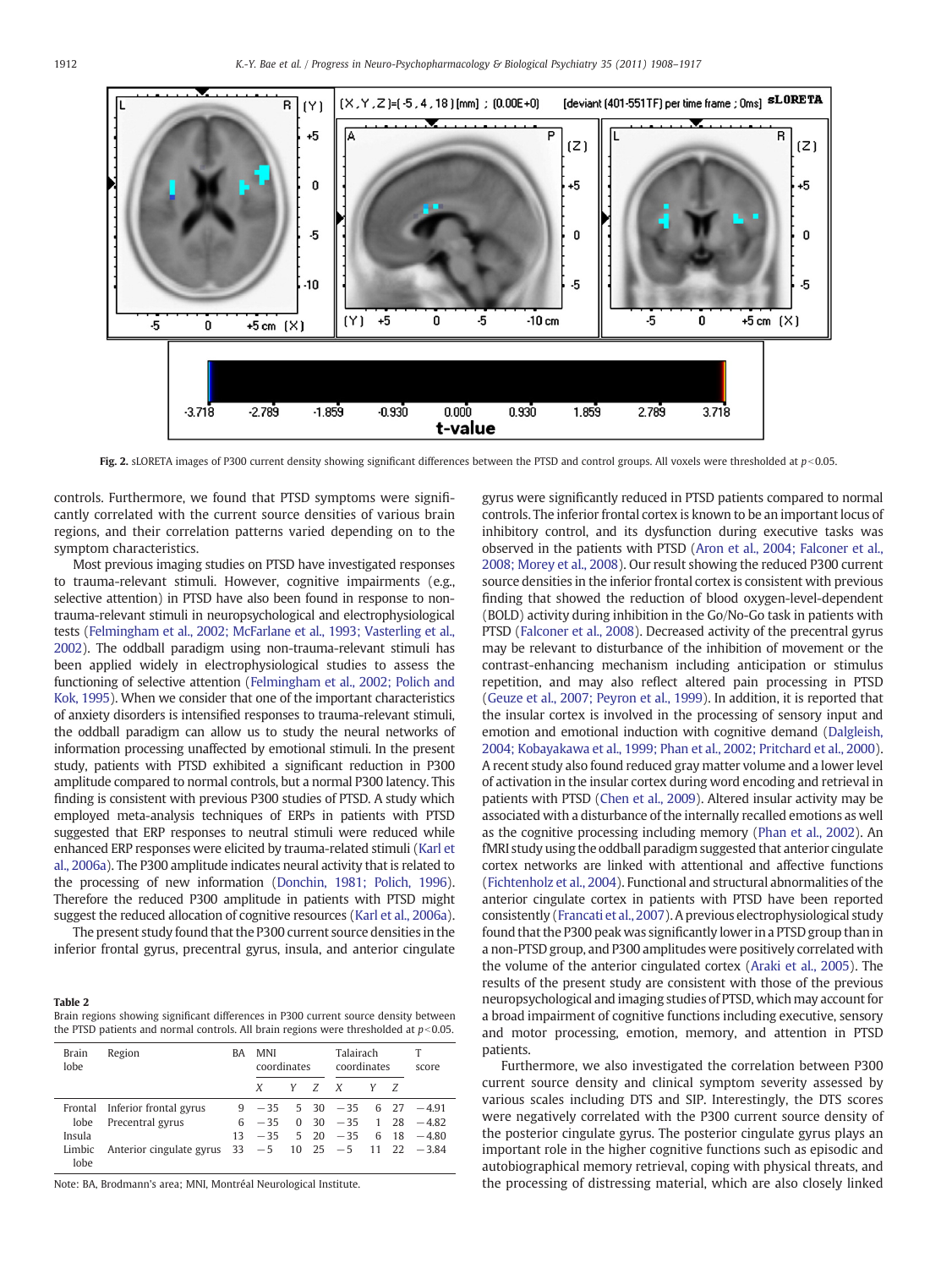<span id="page-4-0"></span>

Fig. 2. sLORETA images of P300 current density showing significant differences between the PTSD and control groups. All voxels were thresholded at  $p<0.05$ .

controls. Furthermore, we found that PTSD symptoms were significantly correlated with the current source densities of various brain regions, and their correlation patterns varied depending on to the symptom characteristics.

Most previous imaging studies on PTSD have investigated responses to trauma-relevant stimuli. However, cognitive impairments (e.g., selective attention) in PTSD have also been found in response to nontrauma-relevant stimuli in neuropsychological and electrophysiological tests ([Felmingham et al., 2002; McFarlane et al., 1993; Vasterling et al.,](#page-8-0) [2002](#page-8-0)). The oddball paradigm using non-trauma-relevant stimuli has been applied widely in electrophysiological studies to assess the functioning of selective attention ([Felmingham et al., 2002; Polich and](#page-8-0) [Kok, 1995\)](#page-8-0). When we consider that one of the important characteristics of anxiety disorders is intensified responses to trauma-relevant stimuli, the oddball paradigm can allow us to study the neural networks of information processing unaffected by emotional stimuli. In the present study, patients with PTSD exhibited a significant reduction in P300 amplitude compared to normal controls, but a normal P300 latency. This finding is consistent with previous P300 studies of PTSD. A study which employed meta-analysis techniques of ERPs in patients with PTSD suggested that ERP responses to neutral stimuli were reduced while enhanced ERP responses were elicited by trauma-related stimuli [\(Karl et](#page-8-0) [al., 2006a](#page-8-0)). The P300 amplitude indicates neural activity that is related to the processing of new information [\(Donchin, 1981; Polich, 1996\)](#page-8-0). Therefore the reduced P300 amplitude in patients with PTSD might suggest the reduced allocation of cognitive resources [\(Karl et al., 2006a\)](#page-8-0).

The present study found that the P300 current source densities in the inferior frontal gyrus, precentral gyrus, insula, and anterior cingulate

#### Table 2

Brain regions showing significant differences in P300 current source density between the PTSD patients and normal controls. All brain regions were thresholded at  $p<0.05$ .

| <b>Brain</b><br>lobe | Region                                                       | BA | <b>MNI</b><br>coordinates |  | Talairach<br>coordinates |  | score |  |                                  |
|----------------------|--------------------------------------------------------------|----|---------------------------|--|--------------------------|--|-------|--|----------------------------------|
|                      |                                                              |    | X                         |  | Y Z X                    |  |       |  |                                  |
|                      | Frontal Inferior frontal gyrus                               |    |                           |  |                          |  |       |  | $-35$ 5 30 $-35$ 6 27 $-4.91$    |
| lobe                 | Precentral gyrus                                             |    |                           |  |                          |  |       |  | $6 - 35$ 0 30 $-35$ 1 28 $-4.82$ |
| Insula               |                                                              | 13 |                           |  |                          |  |       |  | $-35$ 5 20 $-35$ 6 18 $-4.80$    |
| Limbic<br>lobe       | Anterior cingulate gyrus $33 - 5$ 10 $25 - 5$ 11 $22 - 3.84$ |    |                           |  |                          |  |       |  |                                  |

Note: BA, Brodmann's area; MNI, Montréal Neurological Institute.

gyrus were significantly reduced in PTSD patients compared to normal controls. The inferior frontal cortex is known to be an important locus of inhibitory control, and its dysfunction during executive tasks was observed in the patients with PTSD ([Aron et al., 2004; Falconer et al.,](#page-8-0) [2008; Morey et al., 2008\)](#page-8-0). Our result showing the reduced P300 current source densities in the inferior frontal cortex is consistent with previous finding that showed the reduction of blood oxygen-level-dependent (BOLD) activity during inhibition in the Go/No-Go task in patients with PTSD ([Falconer et al., 2008\)](#page-8-0). Decreased activity of the precentral gyrus may be relevant to disturbance of the inhibition of movement or the contrast-enhancing mechanism including anticipation or stimulus repetition, and may also reflect altered pain processing in PTSD [\(Geuze et al., 2007; Peyron et al., 1999\)](#page-8-0). In addition, it is reported that the insular cortex is involved in the processing of sensory input and emotion and emotional induction with cognitive demand [\(Dalgleish,](#page-8-0) [2004; Kobayakawa et al., 1999; Phan et al., 2002; Pritchard et al., 2000\)](#page-8-0). A recent study also found reduced gray matter volume and a lower level of activation in the insular cortex during word encoding and retrieval in patients with PTSD ([Chen et al., 2009](#page-8-0)). Altered insular activity may be associated with a disturbance of the internally recalled emotions as well as the cognitive processing including memory [\(Phan et al., 2002\)](#page-9-0). An fMRI study using the oddball paradigm suggested that anterior cingulate cortex networks are linked with attentional and affective functions [\(Fichtenholz et al., 2004\)](#page-8-0). Functional and structural abnormalities of the anterior cingulate cortex in patients with PTSD have been reported consistently [\(Francati et al., 2007\)](#page-8-0). A previous electrophysiological study found that the P300 peak was significantly lower in a PTSD group than in a non-PTSD group, and P300 amplitudes were positively correlated with the volume of the anterior cingulated cortex ([Araki et al., 2005\)](#page-8-0). The results of the present study are consistent with those of the previous neuropsychological and imaging studies of PTSD, which may account for a broad impairment of cognitive functions including executive, sensory and motor processing, emotion, memory, and attention in PTSD patients.

Furthermore, we also investigated the correlation between P300 current source density and clinical symptom severity assessed by various scales including DTS and SIP. Interestingly, the DTS scores were negatively correlated with the P300 current source density of the posterior cingulate gyrus. The posterior cingulate gyrus plays an important role in the higher cognitive functions such as episodic and autobiographical memory retrieval, coping with physical threats, and the processing of distressing material, which are also closely linked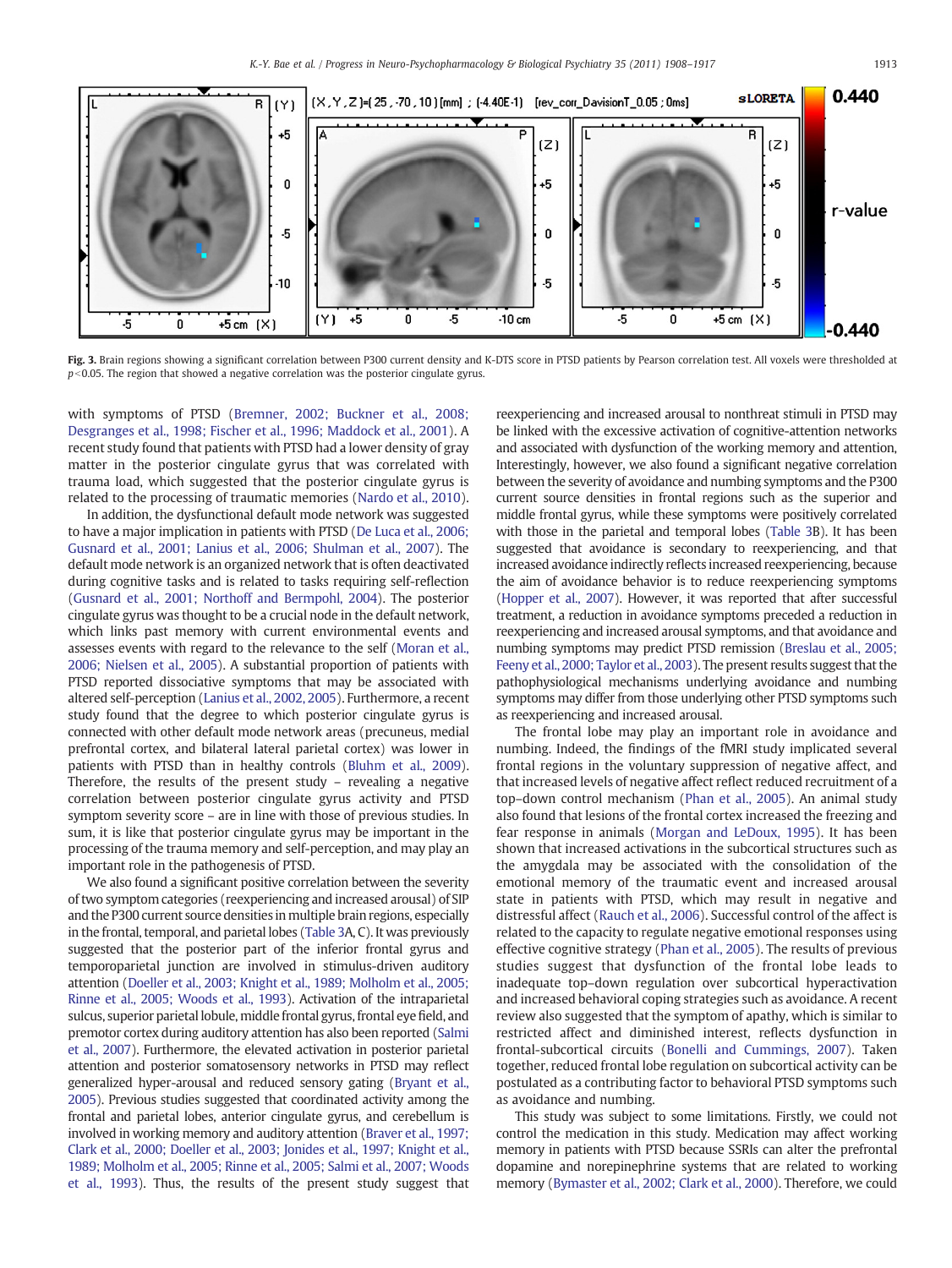<span id="page-5-0"></span>

Fig. 3. Brain regions showing a significant correlation between P300 current density and K-DTS score in PTSD patients by Pearson correlation test. All voxels were thresholded at  $p<$  0.05. The region that showed a negative correlation was the posterior cingulate gyrus.

with symptoms of PTSD [\(Bremner, 2002; Buckner et al., 2008;](#page-8-0) [Desgranges et al., 1998; Fischer et al., 1996; Maddock et al., 2001\)](#page-8-0). A recent study found that patients with PTSD had a lower density of gray matter in the posterior cingulate gyrus that was correlated with trauma load, which suggested that the posterior cingulate gyrus is related to the processing of traumatic memories ([Nardo et al., 2010](#page-9-0)).

In addition, the dysfunctional default mode network was suggested to have a major implication in patients with PTSD [\(De Luca et al., 2006;](#page-8-0) [Gusnard et al., 2001; Lanius et al., 2006; Shulman et al., 2007\)](#page-8-0). The default mode network is an organized network that is often deactivated during cognitive tasks and is related to tasks requiring self-reflection [\(Gusnard et al., 2001; Northoff and Bermpohl, 2004\)](#page-8-0). The posterior cingulate gyrus was thought to be a crucial node in the default network, which links past memory with current environmental events and assesses events with regard to the relevance to the self [\(Moran et al.,](#page-8-0) [2006; Nielsen et al., 2005\)](#page-8-0). A substantial proportion of patients with PTSD reported dissociative symptoms that may be associated with altered self-perception ([Lanius et al., 2002, 2005](#page-8-0)). Furthermore, a recent study found that the degree to which posterior cingulate gyrus is connected with other default mode network areas (precuneus, medial prefrontal cortex, and bilateral lateral parietal cortex) was lower in patients with PTSD than in healthy controls ([Bluhm et al., 2009](#page-8-0)). Therefore, the results of the present study – revealing a negative correlation between posterior cingulate gyrus activity and PTSD symptom severity score – are in line with those of previous studies. In sum, it is like that posterior cingulate gyrus may be important in the processing of the trauma memory and self-perception, and may play an important role in the pathogenesis of PTSD.

We also found a significant positive correlation between the severity of two symptom categories (reexperiencing and increased arousal) of SIP and the P300 current source densities in multiple brain regions, especially in the frontal, temporal, and parietal lobes [\(Table 3A](#page-7-0), C). It was previously suggested that the posterior part of the inferior frontal gyrus and temporoparietal junction are involved in stimulus-driven auditory attention [\(Doeller et al., 2003; Knight et al., 1989; Molholm et al., 2005;](#page-8-0) [Rinne et al., 2005; Woods et al., 1993](#page-8-0)). Activation of the intraparietal sulcus, superior parietal lobule, middle frontal gyrus, frontal eye field, and premotor cortex during auditory attention has also been reported [\(Salmi](#page-9-0) [et al., 2007](#page-9-0)). Furthermore, the elevated activation in posterior parietal attention and posterior somatosensory networks in PTSD may reflect generalized hyper-arousal and reduced sensory gating [\(Bryant et al.,](#page-8-0) [2005](#page-8-0)). Previous studies suggested that coordinated activity among the frontal and parietal lobes, anterior cingulate gyrus, and cerebellum is involved in working memory and auditory attention [\(Braver et al., 1997;](#page-8-0) [Clark et al., 2000; Doeller et al., 2003; Jonides et al., 1997; Knight et al.,](#page-8-0) [1989; Molholm et al., 2005; Rinne et](#page-8-0) al., 2005; Salmi et al., 2007; Woods [et al., 1993](#page-8-0)). Thus, the results of the present study suggest that reexperiencing and increased arousal to nonthreat stimuli in PTSD may be linked with the excessive activation of cognitive-attention networks and associated with dysfunction of the working memory and attention, Interestingly, however, we also found a significant negative correlation between the severity of avoidance and numbing symptoms and the P300 current source densities in frontal regions such as the superior and middle frontal gyrus, while these symptoms were positively correlated with those in the parietal and temporal lobes [\(Table 3](#page-7-0)B). It has been suggested that avoidance is secondary to reexperiencing, and that increased avoidance indirectly reflects increased reexperiencing, because the aim of avoidance behavior is to reduce reexperiencing symptoms [\(Hopper et al., 2007](#page-8-0)). However, it was reported that after successful treatment, a reduction in avoidance symptoms preceded a reduction in reexperiencing and increased arousal symptoms, and that avoidance and numbing symptoms may predict PTSD remission [\(Breslau et al., 2005;](#page-8-0) [Feeny et al., 2000; Taylor et al., 2003](#page-8-0)). The present results suggest that the pathophysiological mechanisms underlying avoidance and numbing symptoms may differ from those underlying other PTSD symptoms such as reexperiencing and increased arousal.

The frontal lobe may play an important role in avoidance and numbing. Indeed, the findings of the fMRI study implicated several frontal regions in the voluntary suppression of negative affect, and that increased levels of negative affect reflect reduced recruitment of a top–down control mechanism ([Phan et al., 2005\)](#page-9-0). An animal study also found that lesions of the frontal cortex increased the freezing and fear response in animals [\(Morgan and LeDoux, 1995](#page-9-0)). It has been shown that increased activations in the subcortical structures such as the amygdala may be associated with the consolidation of the emotional memory of the traumatic event and increased arousal state in patients with PTSD, which may result in negative and distressful affect ([Rauch et al., 2006\)](#page-9-0). Successful control of the affect is related to the capacity to regulate negative emotional responses using effective cognitive strategy [\(Phan et al., 2005](#page-9-0)). The results of previous studies suggest that dysfunction of the frontal lobe leads to inadequate top–down regulation over subcortical hyperactivation and increased behavioral coping strategies such as avoidance. A recent review also suggested that the symptom of apathy, which is similar to restricted affect and diminished interest, reflects dysfunction in frontal-subcortical circuits [\(Bonelli and Cummings, 2007\)](#page-8-0). Taken together, reduced frontal lobe regulation on subcortical activity can be postulated as a contributing factor to behavioral PTSD symptoms such as avoidance and numbing.

This study was subject to some limitations. Firstly, we could not control the medication in this study. Medication may affect working memory in patients with PTSD because SSRIs can alter the prefrontal dopamine and norepinephrine systems that are related to working memory [\(Bymaster et al., 2002; Clark et al., 2000\)](#page-8-0). Therefore, we could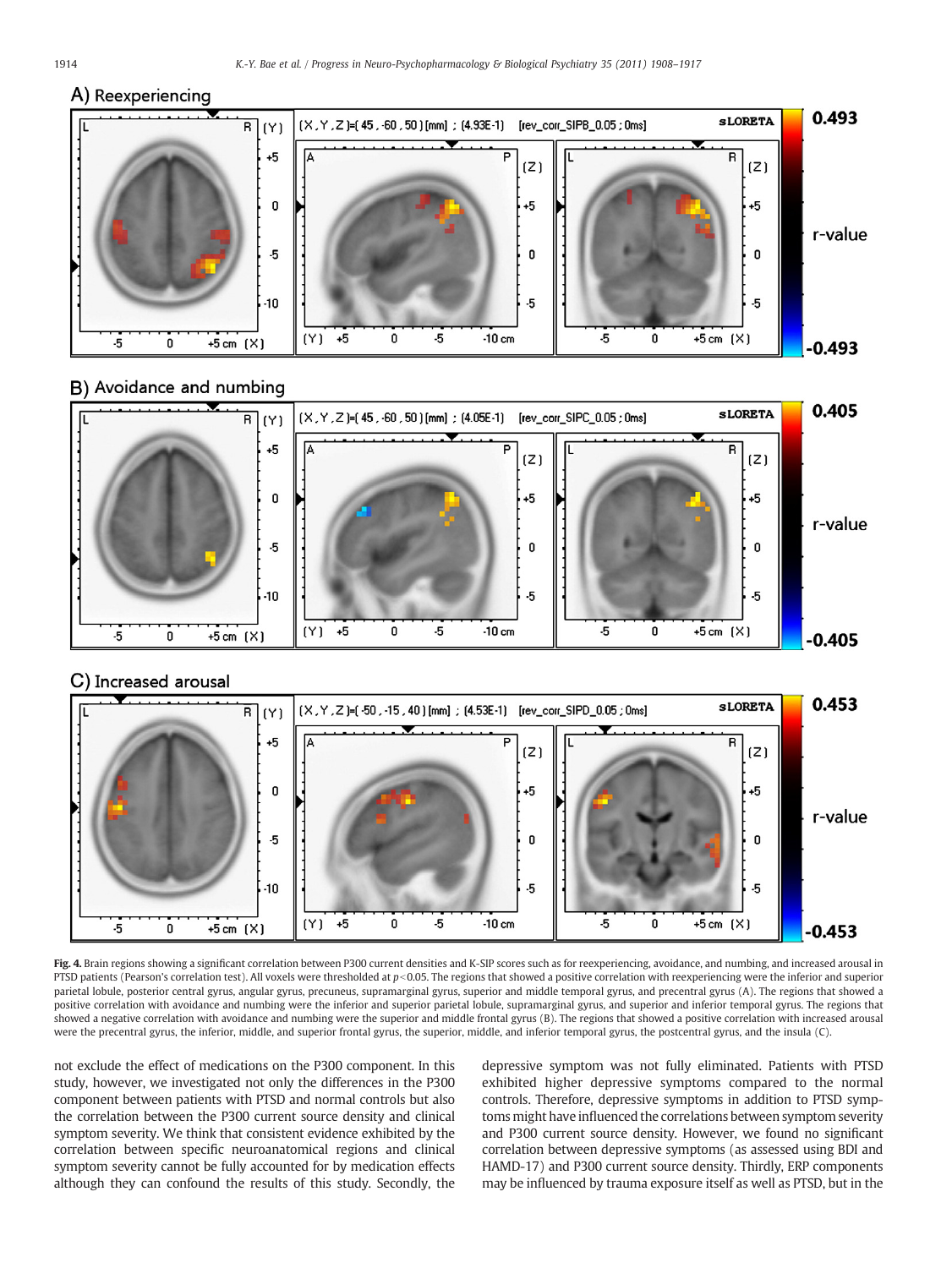# <span id="page-6-0"></span>A) Reexperiencing



# B) Avoidance and numbing



# C) Increased arousal



Fig. 4. Brain regions showing a significant correlation between P300 current densities and K-SIP scores such as for reexperiencing, avoidance, and numbing, and increased arousal in PTSD patients (Pearson's correlation test). All voxels were thresholded at  $p<0.05$ . The regions that showed a positive correlation with reexperiencing were the inferior and superior parietal lobule, posterior central gyrus, angular gyrus, precuneus, supramarginal gyrus, superior and middle temporal gyrus, and precentral gyrus (A). The regions that showed a positive correlation with avoidance and numbing were the inferior and superior parietal lobule, supramarginal gyrus, and superior and inferior temporal gyrus. The regions that showed a negative correlation with avoidance and numbing were the superior and middle frontal gyrus (B). The regions that showed a positive correlation with increased arousal were the precentral gyrus, the inferior, middle, and superior frontal gyrus, the superior, middle, and inferior temporal gyrus, the postcentral gyrus, and the insula (C).

not exclude the effect of medications on the P300 component. In this study, however, we investigated not only the differences in the P300 component between patients with PTSD and normal controls but also the correlation between the P300 current source density and clinical symptom severity. We think that consistent evidence exhibited by the correlation between specific neuroanatomical regions and clinical symptom severity cannot be fully accounted for by medication effects although they can confound the results of this study. Secondly, the depressive symptom was not fully eliminated. Patients with PTSD exhibited higher depressive symptoms compared to the normal controls. Therefore, depressive symptoms in addition to PTSD symptoms might have influenced the correlations between symptom severity and P300 current source density. However, we found no significant correlation between depressive symptoms (as assessed using BDI and HAMD-17) and P300 current source density. Thirdly, ERP components may be influenced by trauma exposure itself as well as PTSD, but in the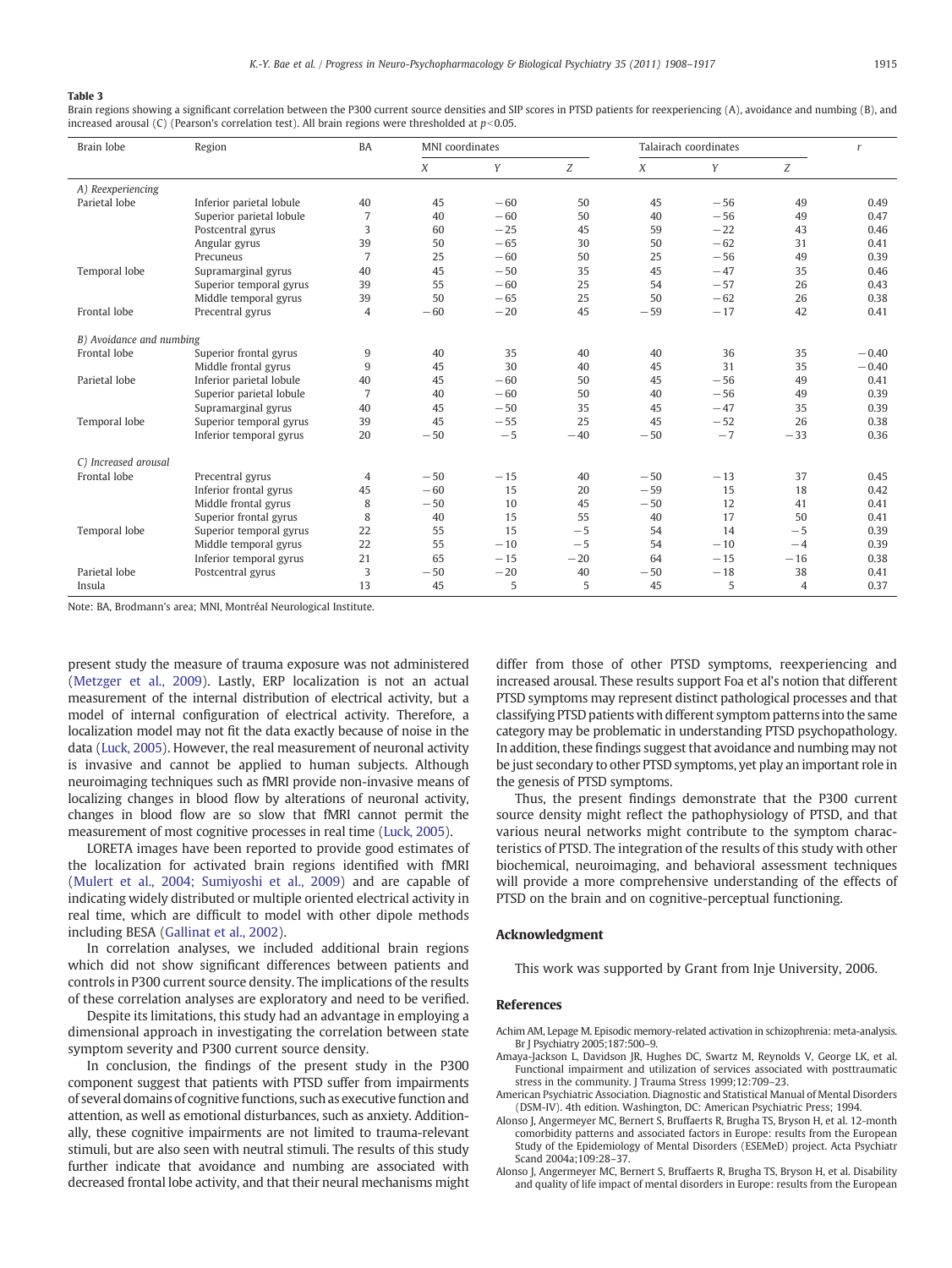#### <span id="page-7-0"></span>Table 3

Brain regions showing a significant correlation between the P300 current source densities and SIP scores in PTSD patients for reexperiencing (A), avoidance and numbing (B), and increased arousal (C) (Pearson's correlation test). All brain regions were thresholded at  $p<0.05$ .

| Brain lobe               | Region                   | <b>BA</b>      |       | MNI coordinates<br>Talairach coordinates |       |       | $\mathbf{r}$ |       |         |
|--------------------------|--------------------------|----------------|-------|------------------------------------------|-------|-------|--------------|-------|---------|
|                          |                          |                | X     | Y                                        | Z     | X     | Y            | Z     |         |
| A) Reexperiencing        |                          |                |       |                                          |       |       |              |       |         |
| Parietal lobe            | Inferior parietal lobule | 40             | 45    | $-60$                                    | 50    | 45    | $-56$        | 49    | 0.49    |
|                          | Superior parietal lobule | 7              | 40    | $-60$                                    | 50    | 40    | $-56$        | 49    | 0.47    |
|                          | Postcentral gyrus        | 3              | 60    | $-25$                                    | 45    | 59    | $-22$        | 43    | 0.46    |
|                          | Angular gyrus            | 39             | 50    | $-65$                                    | 30    | 50    | $-62$        | 31    | 0.41    |
|                          | Precuneus                | $\overline{7}$ | 25    | $-60$                                    | 50    | 25    | $-56$        | 49    | 0.39    |
| Temporal lobe            | Supramarginal gyrus      | 40             | 45    | $-50$                                    | 35    | 45    | $-47$        | 35    | 0.46    |
|                          | Superior temporal gyrus  | 39             | 55    | $-60$                                    | 25    | 54    | $-57$        | 26    | 0.43    |
|                          | Middle temporal gyrus    | 39             | 50    | $-65$                                    | 25    | 50    | $-62$        | 26    | 0.38    |
| Frontal lobe             | Precentral gyrus         | 4              | $-60$ | $-20$                                    | 45    | $-59$ | $-17$        | 42    | 0.41    |
| B) Avoidance and numbing |                          |                |       |                                          |       |       |              |       |         |
| Frontal lobe             | Superior frontal gyrus   | 9              | 40    | 35                                       | 40    | 40    | 36           | 35    | $-0.40$ |
|                          | Middle frontal gyrus     | 9              | 45    | 30                                       | 40    | 45    | 31           | 35    | $-0.40$ |
| Parietal lobe            | Inferior parietal lobule | 40             | 45    | $-60$                                    | 50    | 45    | $-56$        | 49    | 0.41    |
|                          | Superior parietal lobule | $\overline{7}$ | 40    | $-60$                                    | 50    | 40    | $-56$        | 49    | 0.39    |
|                          | Supramarginal gyrus      | 40             | 45    | $-50$                                    | 35    | 45    | $-47$        | 35    | 0.39    |
| Temporal lobe            | Superior temporal gyrus  | 39             | 45    | $-55$                                    | 25    | 45    | $-52$        | 26    | 0.38    |
|                          | Inferior temporal gyrus  | 20             | $-50$ | $-5$                                     | $-40$ | $-50$ | $-7$         | $-33$ | 0.36    |
| C) Increased arousal     |                          |                |       |                                          |       |       |              |       |         |
| Frontal lobe             | Precentral gyrus         | $\overline{4}$ | $-50$ | $-15$                                    | 40    | $-50$ | $-13$        | 37    | 0.45    |
|                          | Inferior frontal gyrus   | 45             | $-60$ | 15                                       | 20    | $-59$ | 15           | 18    | 0.42    |
|                          | Middle frontal gyrus     | 8              | $-50$ | 10                                       | 45    | $-50$ | 12           | 41    | 0.41    |
|                          | Superior frontal gyrus   | 8              | 40    | 15                                       | 55    | 40    | 17           | 50    | 0.41    |
| Temporal lobe            | Superior temporal gyrus  | 22             | 55    | 15                                       | $-5$  | 54    | 14           | $-5$  | 0.39    |
|                          | Middle temporal gyrus    | 22             | 55    | $-10$                                    | $-5$  | 54    | $-10$        | $-4$  | 0.39    |
|                          | Inferior temporal gyrus  | 21             | 65    | $-15$                                    | $-20$ | 64    | $-15$        | $-16$ | 0.38    |
| Parietal lobe            | Postcentral gyrus        | 3              | $-50$ | $-20$                                    | 40    | $-50$ | $-18$        | 38    | 0.41    |
| Insula                   |                          | 13             | 45    | 5                                        | 5     | 45    | 5            | 4     | 0.37    |

Note: BA, Brodmann's area; MNI, Montréal Neurological Institute.

present study the measure of trauma exposure was not administered [\(Metzger et al., 2009](#page-8-0)). Lastly, ERP localization is not an actual measurement of the internal distribution of electrical activity, but a model of internal configuration of electrical activity. Therefore, a localization model may not fit the data exactly because of noise in the data [\(Luck, 2005](#page-8-0)). However, the real measurement of neuronal activity is invasive and cannot be applied to human subjects. Although neuroimaging techniques such as fMRI provide non-invasive means of localizing changes in blood flow by alterations of neuronal activity, changes in blood flow are so slow that fMRI cannot permit the measurement of most cognitive processes in real time [\(Luck, 2005](#page-8-0)).

LORETA images have been reported to provide good estimates of the localization for activated brain regions identified with fMRI [\(Mulert et al., 2004; Sumiyoshi et al., 2009\)](#page-9-0) and are capable of indicating widely distributed or multiple oriented electrical activity in real time, which are difficult to model with other dipole methods including BESA [\(Gallinat et al., 2002](#page-8-0)).

In correlation analyses, we included additional brain regions which did not show significant differences between patients and controls in P300 current source density. The implications of the results of these correlation analyses are exploratory and need to be verified.

Despite its limitations, this study had an advantage in employing a dimensional approach in investigating the correlation between state symptom severity and P300 current source density.

In conclusion, the findings of the present study in the P300 component suggest that patients with PTSD suffer from impairments of several domains of cognitive functions, such as executive function and attention, as well as emotional disturbances, such as anxiety. Additionally, these cognitive impairments are not limited to trauma-relevant stimuli, but are also seen with neutral stimuli. The results of this study further indicate that avoidance and numbing are associated with decreased frontal lobe activity, and that their neural mechanisms might differ from those of other PTSD symptoms, reexperiencing and increased arousal. These results support Foa et al's notion that different PTSD symptoms may represent distinct pathological processes and that classifying PTSD patients with different symptom patterns into the same category may be problematic in understanding PTSD psychopathology. In addition, these findings suggest that avoidance and numbing may not be just secondary to other PTSD symptoms, yet play an important role in the genesis of PTSD symptoms.

Thus, the present findings demonstrate that the P300 current source density might reflect the pathophysiology of PTSD, and that various neural networks might contribute to the symptom characteristics of PTSD. The integration of the results of this study with other biochemical, neuroimaging, and behavioral assessment techniques will provide a more comprehensive understanding of the effects of PTSD on the brain and on cognitive-perceptual functioning.

#### Acknowledgment

This work was supported by Grant from Inje University, 2006.

# References

Achim AM, Lepage M. Episodic memory-related activation in schizophrenia: meta-analysis. Br J Psychiatry 2005;187:500–9.

- Amaya-Jackson L, Davidson JR, Hughes DC, Swartz M, Reynolds V, George LK, et al. Functional impairment and utilization of services associated with posttraumatic stress in the community. J Trauma Stress 1999;12:709–23.
- American Psychiatric Association. Diagnostic and Statistical Manual of Mental Disorders (DSM-IV). 4th edition. Washington, DC: American Psychiatric Press; 1994.
- Alonso J, Angermeyer MC, Bernert S, Bruffaerts R, Brugha TS, Bryson H, et al. 12-month comorbidity patterns and associated factors in Europe: results from the European Study of the Epidemiology of Mental Disorders (ESEMeD) project. Acta Psychiatr Scand 2004a;109:28–37.
- Alonso J, Angermeyer MC, Bernert S, Bruffaerts R, Brugha TS, Bryson H, et al. Disability and quality of life impact of mental disorders in Europe: results from the European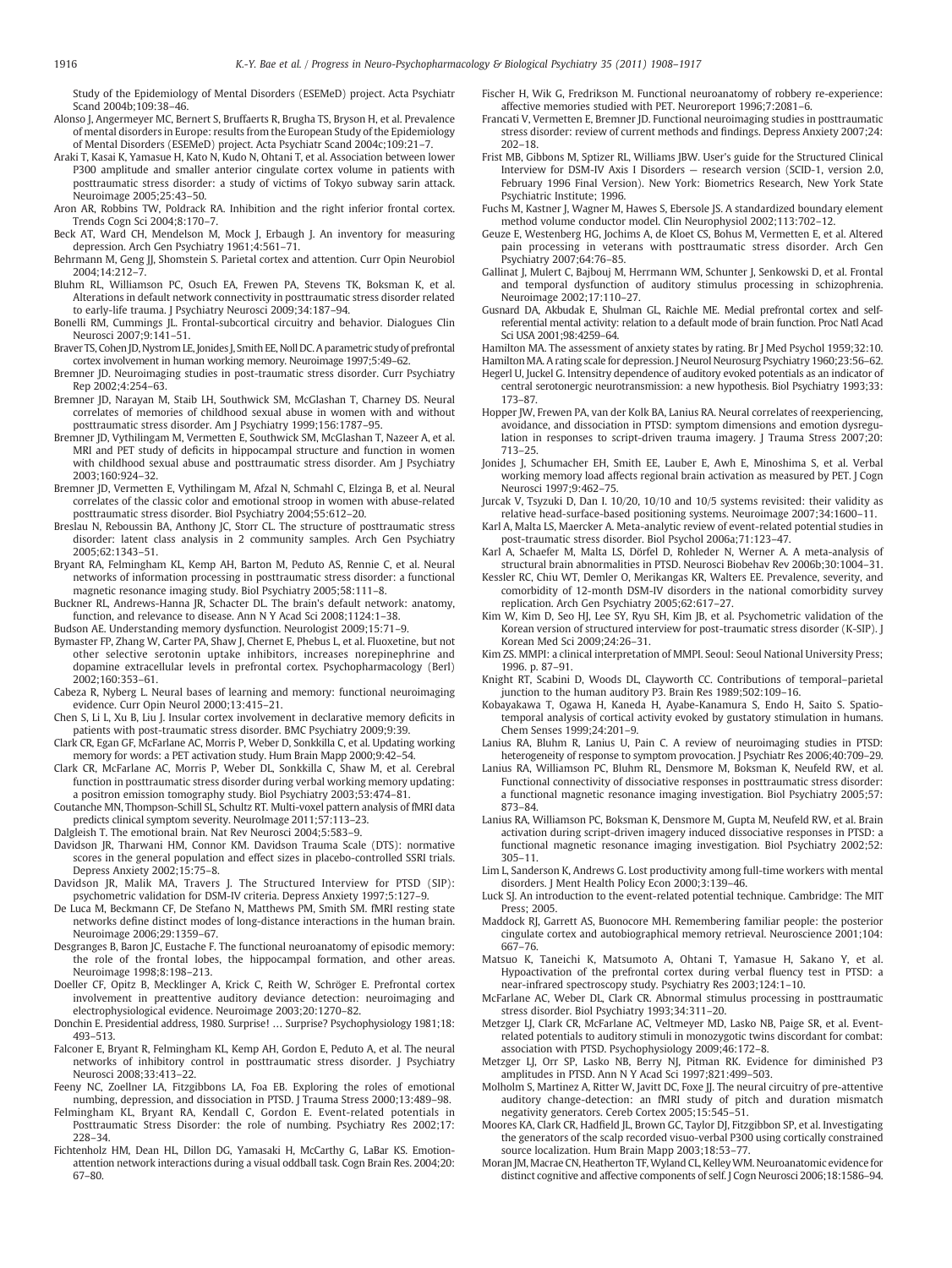<span id="page-8-0"></span>Study of the Epidemiology of Mental Disorders (ESEMeD) project. Acta Psychiatr Scand 2004b;109:38–46.

- Alonso J, Angermeyer MC, Bernert S, Bruffaerts R, Brugha TS, Bryson H, et al. Prevalence of mental disorders in Europe: results from the European Study of the Epidemiology of Mental Disorders (ESEMeD) project. Acta Psychiatr Scand 2004c;109:21–7.
- Araki T, Kasai K, Yamasue H, Kato N, Kudo N, Ohtani T, et al. Association between lower P300 amplitude and smaller anterior cingulate cortex volume in patients with posttraumatic stress disorder: a study of victims of Tokyo subway sarin attack. Neuroimage 2005;25:43–50.
- Aron AR, Robbins TW, Poldrack RA. Inhibition and the right inferior frontal cortex. Trends Cogn Sci 2004;8:170–7.
- Beck AT, Ward CH, Mendelson M, Mock J, Erbaugh J. An inventory for measuring depression. Arch Gen Psychiatry 1961;4:561–71.
- Behrmann M, Geng JJ, Shomstein S. Parietal cortex and attention. Curr Opin Neurobiol  $2004.14.212 - 7$
- Bluhm RL, Williamson PC, Osuch EA, Frewen PA, Stevens TK, Boksman K, et al. Alterations in default network connectivity in posttraumatic stress disorder related to early-life trauma. J Psychiatry Neurosci 2009;34:187–94.
- Bonelli RM, Cummings JL. Frontal-subcortical circuitry and behavior. Dialogues Clin Neurosci 2007;9:141–51.
- Braver TS, Cohen JD, Nystrom LE, Jonides J, Smith EE, Noll DC. A parametric study of prefrontal cortex involvement in human working memory. Neuroimage 1997;5:49–62.
- Bremner JD. Neuroimaging studies in post-traumatic stress disorder. Curr Psychiatry Rep 2002;4:254–63.
- Bremner JD, Narayan M, Staib LH, Southwick SM, McGlashan T, Charney DS. Neural correlates of memories of childhood sexual abuse in women with and without posttraumatic stress disorder. Am J Psychiatry 1999;156:1787–95.
- Bremner JD, Vythilingam M, Vermetten E, Southwick SM, McGlashan T, Nazeer A, et al. MRI and PET study of deficits in hippocampal structure and function in women with childhood sexual abuse and posttraumatic stress disorder. Am J Psychiatry 2003;160:924–32.
- Bremner JD, Vermetten E, Vythilingam M, Afzal N, Schmahl C, Elzinga B, et al. Neural correlates of the classic color and emotional stroop in women with abuse-related posttraumatic stress disorder. Biol Psychiatry 2004;55:612–20.
- Breslau N, Reboussin BA, Anthony JC, Storr CL. The structure of posttraumatic stress disorder: latent class analysis in 2 community samples. Arch Gen Psychiatry 2005;62:1343–51.
- Bryant RA, Felmingham KL, Kemp AH, Barton M, Peduto AS, Rennie C, et al. Neural networks of information processing in posttraumatic stress disorder: a functional magnetic resonance imaging study. Biol Psychiatry 2005;58:111–8.
- Buckner RL, Andrews-Hanna JR, Schacter DL. The brain's default network: anatomy, function, and relevance to disease. Ann N Y Acad Sci 2008;1124:1–38.
- Budson AE. Understanding memory dysfunction. Neurologist 2009;15:71–9.
- Bymaster FP, Zhang W, Carter PA, Shaw J, Chernet E, Phebus L, et al. Fluoxetine, but not other selective serotonin uptake inhibitors, increases norepinephrine and dopamine extracellular levels in prefrontal cortex. Psychopharmacology (Berl) 2002;160:353–61.
- Cabeza R, Nyberg L. Neural bases of learning and memory: functional neuroimaging evidence. Curr Opin Neurol 2000;13:415–21.
- Chen S, Li L, Xu B, Liu J. Insular cortex involvement in declarative memory deficits in patients with post-traumatic stress disorder. BMC Psychiatry 2009;9:39.
- Clark CR, Egan GF, McFarlane AC, Morris P, Weber D, Sonkkilla C, et al. Updating working memory for words: a PET activation study. Hum Brain Mapp 2000;9:42–54.
- Clark CR, McFarlane AC, Morris P, Weber DL, Sonkkilla C, Shaw M, et al. Cerebral function in posttraumatic stress disorder during verbal working memory updating: a positron emission tomography study. Biol Psychiatry 2003;53:474–81.
- Coutanche MN, Thompson-Schill SL, Schultz RT. Multi-voxel pattern analysis of fMRI data predicts clinical symptom severity. NeuroImage 2011;57:113–23.
- Dalgleish T. The emotional brain. Nat Rev Neurosci 2004;5:583–9.
- Davidson JR, Tharwani HM, Connor KM. Davidson Trauma Scale (DTS): normative scores in the general population and effect sizes in placebo-controlled SSRI trials. Depress Anxiety 2002;15:75–8.
- Davidson JR, Malik MA, Travers J. The Structured Interview for PTSD (SIP): psychometric validation for DSM-IV criteria. Depress Anxiety 1997;5:127–9.
- De Luca M, Beckmann CF, De Stefano N, Matthews PM, Smith SM. fMRI resting state networks define distinct modes of long-distance interactions in the human brain. Neuroimage 2006;29:1359–67.
- Desgranges B, Baron JC, Eustache F. The functional neuroanatomy of episodic memory: the role of the frontal lobes, the hippocampal formation, and other areas. Neuroimage 1998;8:198–213.
- Doeller CF, Opitz B, Mecklinger A, Krick C, Reith W, Schröger E. Prefrontal cortex involvement in preattentive auditory deviance detection: neuroimaging and electrophysiological evidence. Neuroimage 2003;20:1270–82.
- Donchin E. Presidential address, 1980. Surprise! … Surprise? Psychophysiology 1981;18: 493–513.
- Falconer E, Bryant R, Felmingham KL, Kemp AH, Gordon E, Peduto A, et al. The neural networks of inhibitory control in posttraumatic stress disorder. J Psychiatry Neurosci 2008;33:413–22.
- Feeny NC, Zoellner LA, Fitzgibbons LA, Foa EB. Exploring the roles of emotional numbing, depression, and dissociation in PTSD. J Trauma Stress 2000;13:489–98.
- Felmingham KL, Bryant RA, Kendall C, Gordon E. Event-related potentials in Posttraumatic Stress Disorder: the role of numbing. Psychiatry Res 2002;17: 228–34.
- Fichtenholz HM, Dean HL, Dillon DG, Yamasaki H, McCarthy G, LaBar KS. Emotionattention network interactions during a visual oddball task. Cogn Brain Res. 2004;20: 67–80.
- Fischer H, Wik G, Fredrikson M. Functional neuroanatomy of robbery re-experience: affective memories studied with PET. Neuroreport 1996;7:2081–6.
- Francati V, Vermetten E, Bremner JD. Functional neuroimaging studies in posttraumatic stress disorder: review of current methods and findings. Depress Anxiety 2007;24: 202–18.
- Frist MB, Gibbons M, Sptizer RL, Williams JBW. User's guide for the Structured Clinical Interview for DSM-IV Axis I Disorders — research version (SCID-1, version 2.0, February 1996 Final Version). New York: Biometrics Research, New York State Psychiatric Institute; 1996.
- Fuchs M, Kastner J, Wagner M, Hawes S, Ebersole JS. A standardized boundary element method volume conductor model. Clin Neurophysiol 2002;113:702–12.
- Geuze E, Westenberg HG, Jochims A, de Kloet CS, Bohus M, Vermetten E, et al. Altered pain processing in veterans with posttraumatic stress disorder. Arch Gen Psychiatry 2007;64:76–85.
- Gallinat J, Mulert C, Bajbouj M, Herrmann WM, Schunter J, Senkowski D, et al. Frontal and temporal dysfunction of auditory stimulus processing in schizophrenia. Neuroimage 2002;17:110–27.
- Gusnard DA, Akbudak E, Shulman GL, Raichle ME. Medial prefrontal cortex and selfreferential mental activity: relation to a default mode of brain function. Proc Natl Acad Sci USA 2001;98:4259–64.
- Hamilton MA. The assessment of anxiety states by rating. Br J Med Psychol 1959;32:10. Hamilton MA. A rating scale for depression. J Neurol Neurosurg Psychiatry 1960;23:56–62.
- Hegerl U, Juckel G. Intensitry dependence of auditory evoked potentials as an indicator of central serotonergic neurotransmission: a new hypothesis. Biol Psychiatry 1993;33: 173–87.
- Hopper JW, Frewen PA, van der Kolk BA, Lanius RA. Neural correlates of reexperiencing, avoidance, and dissociation in PTSD: symptom dimensions and emotion dysregulation in responses to script-driven trauma imagery. J Trauma Stress 2007;20: 713–25.
- Jonides J, Schumacher EH, Smith EE, Lauber E, Awh E, Minoshima S, et al. Verbal working memory load affects regional brain activation as measured by PET. J Cogn Neurosci 1997;9:462–75.
- Jurcak V, Tsyzuki D, Dan I. 10/20, 10/10 and 10/5 systems revisited: their validity as relative head-surface-based positioning systems. Neuroimage 2007;34:1600–11.
- Karl A, Malta LS, Maercker A. Meta-analytic review of event-related potential studies in post-traumatic stress disorder. Biol Psychol 2006a;71:123–47.
- Karl A, Schaefer M, Malta LS, Dörfel D, Rohleder N, Werner A. A meta-analysis of structural brain abnormalities in PTSD. Neurosci Biobehav Rev 2006b;30:1004–31.
- Kessler RC, Chiu WT, Demler O, Merikangas KR, Walters EE. Prevalence, severity, and comorbidity of 12-month DSM-IV disorders in the national comorbidity survey replication. Arch Gen Psychiatry 2005;62:617–27.
- Kim W, Kim D, Seo HJ, Lee SY, Ryu SH, Kim JB, et al. Psychometric validation of the Korean version of structured interview for post-traumatic stress disorder (K-SIP). J Korean Med Sci 2009;24:26–31.
- Kim ZS. MMPI: a clinical interpretation of MMPI. Seoul: Seoul National University Press; 1996. p. 87–91.
- Knight RT, Scabini D, Woods DL, Clayworth CC. Contributions of temporal–parietal junction to the human auditory P3. Brain Res 1989;502:109–16.
- Kobayakawa T, Ogawa H, Kaneda H, Ayabe-Kanamura S, Endo H, Saito S. Spatiotemporal analysis of cortical activity evoked by gustatory stimulation in humans. Chem Senses 1999;24:201–9.
- Lanius RA, Bluhm R, Lanius U, Pain C. A review of neuroimaging studies in PTSD: heterogeneity of response to symptom provocation. J Psychiatr Res 2006;40:709–29.
- Lanius RA, Williamson PC, Bluhm RL, Densmore M, Boksman K, Neufeld RW, et al. Functional connectivity of dissociative responses in posttraumatic stress disorder: a functional magnetic resonance imaging investigation. Biol Psychiatry 2005;57: 873–84.
- Lanius RA, Williamson PC, Boksman K, Densmore M, Gupta M, Neufeld RW, et al. Brain activation during script-driven imagery induced dissociative responses in PTSD: a functional magnetic resonance imaging investigation. Biol Psychiatry 2002;52: 305–11.
- Lim L, Sanderson K, Andrews G. Lost productivity among full-time workers with mental disorders. J Ment Health Policy Econ 2000;3:139–46.
- Luck SJ. An introduction to the event-related potential technique. Cambridge: The MIT Press; 2005.
- Maddock RJ, Garrett AS, Buonocore MH. Remembering familiar people: the posterior cingulate cortex and autobiographical memory retrieval. Neuroscience 2001;104: 667–76.
- Matsuo K, Taneichi K, Matsumoto A, Ohtani T, Yamasue H, Sakano Y, et al. Hypoactivation of the prefrontal cortex during verbal fluency test in PTSD: a near-infrared spectroscopy study. Psychiatry Res 2003;124:1–10.
- McFarlane AC, Weber DL, Clark CR. Abnormal stimulus processing in posttraumatic stress disorder. Biol Psychiatry 1993;34:311–20.
- Metzger LJ, Clark CR, McFarlane AC, Veltmeyer MD, Lasko NB, Paige SR, et al. Eventrelated potentials to auditory stimuli in monozygotic twins discordant for combat: association with PTSD. Psychophysiology 2009;46:172–8.
- Metzger LJ, Orr SP, Lasko NB, Berry NJ, Pitman RK. Evidence for diminished P3 amplitudes in PTSD. Ann N Y Acad Sci 1997;821:499–503.
- Molholm S, Martinez A, Ritter W, Javitt DC, Foxe JJ. The neural circuitry of pre-attentive auditory change-detection: an fMRI study of pitch and duration mismatch negativity generators. Cereb Cortex 2005;15:545–51.
- Moores KA, Clark CR, Hadfield JL, Brown GC, Taylor DJ, Fitzgibbon SP, et al. Investigating the generators of the scalp recorded visuo-verbal P300 using cortically constrained source localization. Hum Brain Mapp 2003;18:53–77.
- Moran JM, Macrae CN, Heatherton TF,Wyland CL, KelleyWM. Neuroanatomic evidence for distinct cognitive and affective components of self. J Cogn Neurosci 2006;18:1586–94.